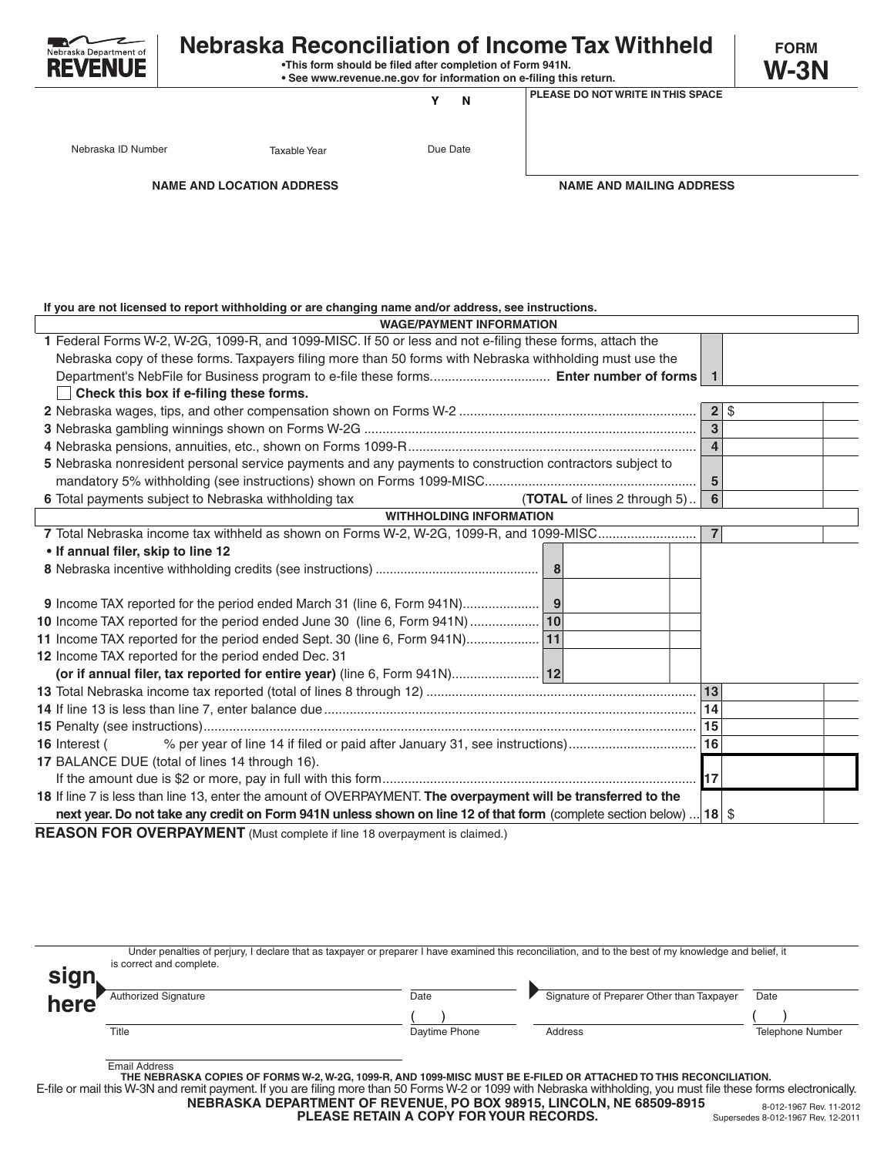

## **Nebraska Reconciliation of Income Tax Withheld** FORM

 **•This form should be filed after completion of Form 941N.**

 **• See www.revenue.ne.gov for information on e-filing this return.**

**Y N**

**PLEASE DO NOT WRITE IN THIS SPACE**

**W-3N**

Nebraska ID Number Taxable Year Taxable Year Due Date

**NAME AND LOCATION ADDRESS NAME AND MAILING ADDRESS**

**If you are not licensed to report withholding or are changing name and/or address, see instructions.**

| <b>WAGE/PAYMENT INFORMATION</b>                                                                                         |                         |          |  |
|-------------------------------------------------------------------------------------------------------------------------|-------------------------|----------|--|
| 1 Federal Forms W-2, W-2G, 1099-R, and 1099-MISC. If 50 or less and not e-filing these forms, attach the                |                         |          |  |
| Nebraska copy of these forms. Taxpayers filing more than 50 forms with Nebraska withholding must use the                |                         |          |  |
|                                                                                                                         |                         |          |  |
| Check this box if e-filing these forms.                                                                                 |                         |          |  |
|                                                                                                                         |                         | $2$   \$ |  |
|                                                                                                                         | $\overline{3}$          |          |  |
|                                                                                                                         | $\overline{4}$          |          |  |
| 5 Nebraska nonresident personal service payments and any payments to construction contractors subject to                |                         |          |  |
|                                                                                                                         | $\overline{\mathbf{5}}$ |          |  |
| 6 Total payments subject to Nebraska withholding tax<br><b>(TOTAL</b> of lines 2 through $5$ )                          | $6\phantom{a}$          |          |  |
| <b>WITHHOLDING INFORMATION</b>                                                                                          |                         |          |  |
| 7 Total Nebraska income tax withheld as shown on Forms W-2, W-2G, 1099-R, and 1099-MISC                                 | $\overline{7}$          |          |  |
| • If annual filer, skip to line 12                                                                                      |                         |          |  |
|                                                                                                                         |                         |          |  |
|                                                                                                                         |                         |          |  |
|                                                                                                                         |                         |          |  |
| 10 Income TAX reported for the period ended June 30 (line 6, Form 941N)                                                 |                         |          |  |
|                                                                                                                         |                         |          |  |
| 12 Income TAX reported for the period ended Dec. 31                                                                     |                         |          |  |
| (or if annual filer, tax reported for entire year) (line 6, Form 941N) 12                                               |                         |          |  |
|                                                                                                                         |                         |          |  |
|                                                                                                                         |                         |          |  |
|                                                                                                                         | 15                      |          |  |
| 16 Interest (                                                                                                           |                         |          |  |
| 17 BALANCE DUE (total of lines 14 through 16).                                                                          |                         |          |  |
|                                                                                                                         |                         |          |  |
| 18 If line 7 is less than line 13, enter the amount of OVERPAYMENT. The overpayment will be transferred to the          |                         |          |  |
| next year. Do not take any credit on Form 941N unless shown on line 12 of that form (complete section below)    18   \$ |                         |          |  |

**REASON FOR OVERPAYMENT** (Must complete if line 18 overpayment is claimed.)

| <b>sign</b> | Under penalties of perjury, I declare that as taxpayer or preparer I have examined this reconciliation, and to the best of my knowledge and belief, it<br>is correct and complete.                                                                                                                                                                                        |               |                                           |                  |  |  |  |
|-------------|---------------------------------------------------------------------------------------------------------------------------------------------------------------------------------------------------------------------------------------------------------------------------------------------------------------------------------------------------------------------------|---------------|-------------------------------------------|------------------|--|--|--|
| here        | <b>Authorized Signature</b>                                                                                                                                                                                                                                                                                                                                               | Date          | Signature of Preparer Other than Taxpayer | Date             |  |  |  |
|             | Title                                                                                                                                                                                                                                                                                                                                                                     | Daytime Phone | Address                                   | Telephone Number |  |  |  |
|             | <b>Email Address</b><br>THE NEBRASKA COPIES OF FORMS W-2, W-2G, 1099-R, AND 1099-MISC MUST BE E-FILED OR ATTACHED TO THIS RECONCILIATION.<br>in Place and the Minimum and the control of the control in the internal members of the Minimum and the control of the control of the control of the control of the control of the control of the control of the control of t |               |                                           |                  |  |  |  |

E-file or mail this W-3N and remit payment. If you are filing more than 50 Forms W-2 or 1099 with Nebraska withholding, you must file these forms electronically. **NEBRASKA DEPARTMENT OF REVENUE, PO BOX 98915, LINCOLN, NE 68509-8915** 8-012-1967 Rev. 11-2012

**PLEASE RETAIN A COPY FOR YOUR RECORDS.**